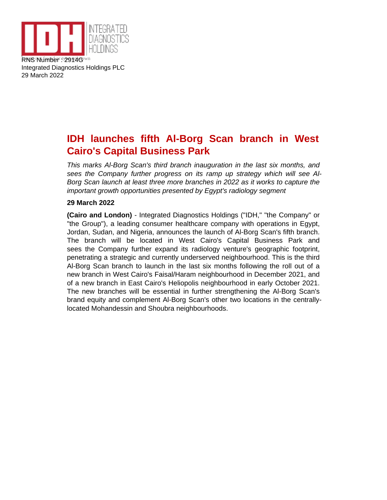

Integrated Diagnostics Holdings PLC 29 March 2022

## **IDH launches fifth Al-Borg Scan branch in West Cairo's Capital Business Park**

This marks Al-Borg Scan's third branch inauguration in the last six months, and sees the Company further progress on its ramp up strategy which will see Al-Borg Scan launch at least three more branches in 2022 as it works to capture the important growth opportunities presented by Egypt's radiology segment

## **29 March 2022**

**(Cairo and London)** - Integrated Diagnostics Holdings ("IDH," "the Company" or "the Group"), a leading consumer healthcare company with operations in Egypt, Jordan, Sudan, and Nigeria, announces the launch of Al-Borg Scan's fifth branch. The branch will be located in West Cairo's Capital Business Park and sees the Company further expand its radiology venture's geographic footprint, penetrating a strategic and currently underserved neighbourhood. This is the third Al-Borg Scan branch to launch in the last six months following the roll out of a new branch in West Cairo's Faisal/Haram neighbourhood in December 2021, and of a new branch in East Cairo's Heliopolis neighbourhood in early October 2021. The new branches will be essential in further strengthening the Al-Borg Scan's brand equity and complement Al-Borg Scan's other two locations in the centrallylocated Mohandessin and Shoubra neighbourhoods.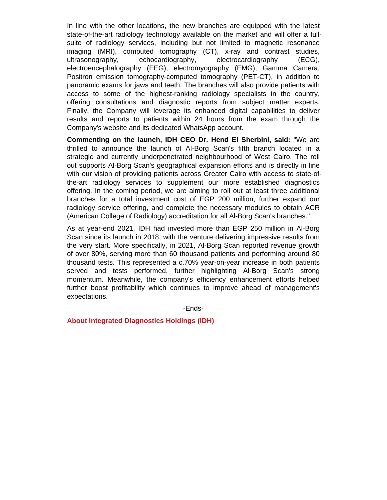In line with the other locations, the new branches are equipped with the latest state-of-the-art radiology technology available on the market and will offer a fullsuite of radiology services, including but not limited to magnetic resonance imaging (MRI), computed tomography (CT), x-ray and contrast studies, ultrasonography, echocardiography, electrocardiography (ECG), electroencephalography (EEG), electromyography (EMG), Gamma Camera, Positron emission tomography-computed tomography (PET-CT), in addition to panoramic exams for jaws and teeth. The branches will also provide patients with access to some of the highest-ranking radiology specialists in the country, offering consultations and diagnostic reports from subject matter experts. Finally, the Company will leverage its enhanced digital capabilities to deliver results and reports to patients within 24 hours from the exam through the Company's website and its dedicated WhatsApp account.

**Commenting on the launch, IDH CEO Dr. Hend El Sherbini, said:** "We are thrilled to announce the launch of Al-Borg Scan's fifth branch located in a strategic and currently underpenetrated neighbourhood of West Cairo. The roll out supports Al-Borg Scan's geographical expansion efforts and is directly in line with our vision of providing patients across Greater Cairo with access to state-ofthe-art radiology services to supplement our more established diagnostics offering. In the coming period, we are aiming to roll out at least three additional branches for a total investment cost of EGP 200 million, further expand our radiology service offering, and complete the necessary modules to obtain ACR (American College of Radiology) accreditation for all Al-Borg Scan's branches."

As at year-end 2021, IDH had invested more than EGP 250 million in Al-Borg Scan since its launch in 2018, with the venture delivering impressive results from the very start. More specifically, in 2021, Al-Borg Scan reported revenue growth of over 80%, serving more than 60 thousand patients and performing around 80 thousand tests. This represented a c.70% year-on-year increase in both patients served and tests performed, further highlighting Al-Borg Scan's strong momentum. Meanwhile, the company's efficiency enhancement efforts helped further boost profitability which continues to improve ahead of management's expectations.

-Ends-

**About Integrated Diagnostics Holdings (IDH)**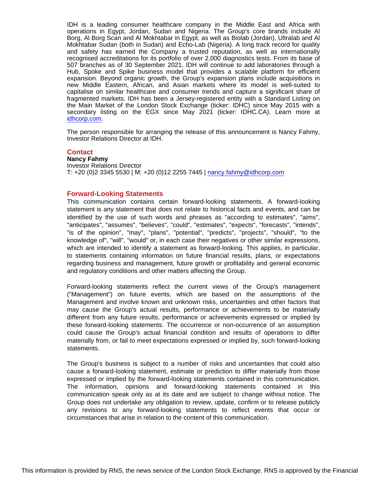IDH is a leading consumer healthcare company in the Middle East and Africa with operations in Egypt, Jordan, Sudan and Nigeria. The Group's core brands include Al Borg, Al Borg Scan and Al Mokhtabar in Egypt, as well as Biolab (Jordan), Ultralab and Al Mokhtabar Sudan (both in Sudan) and Echo-Lab (Nigeria). A long track record for quality and safety has earned the Company a trusted reputation, as well as internationally recognised accreditations for its portfolio of over 2,000 diagnostics tests. From its base of 507 branches as of 30 September 2021, IDH will continue to add laboratories through a Hub, Spoke and Spike business model that provides a scalable platform for efficient expansion. Beyond organic growth, the Group's expansion plans include acquisitions in new Middle Eastern, African, and Asian markets where its model is well-suited to capitalise on similar healthcare and consumer trends and capture a significant share of fragmented markets. IDH has been a Jersey-registered entity with a Standard Listing on the Main Market of the London Stock Exchange (ticker: IDHC) since May 2015 with a secondary listing on the EGX since May 2021 (ticker: IDHC.CA). Learn more at [idhcorp.com](http://idhcorp.com).

The person responsible for arranging the release of this announcement is Nancy Fahmy, Investor Relations Director at IDH.

## **Contact**

Nancy Fahmy Investor Relations Director T: +20 (0)2 3345 5530 | M: +20 (0)12 2255 7445 | [nancy.fahmy@idhcorp.com](mailto:nancy.fahmy@idhcorp.com)

## Forward-Looking Statements

This communication contains certain forward-looking statements. A forward-looking statement is any statement that does not relate to historical facts and events, and can be identified by the use of such words and phrases as "according to estimates", "aims", "anticipates", "assumes", "believes", "could", "estimates", "expects", "forecasts", "intends", "is of the opinion", "may", "plans", "potential", "predicts", "projects", "should", "to the knowledge of", "will", "would" or, in each case their negatives or other similar expressions, which are intended to identify a statement as forward-looking. This applies, in particular, to statements containing information on future financial results, plans, or expectations regarding business and management, future growth or profitability and general economic and regulatory conditions and other matters affecting the Group.

Forward-looking statements reflect the current views of the Group's management ("Management") on future events, which are based on the assumptions of the Management and involve known and unknown risks, uncertainties and other factors that may cause the Group's actual results, performance or achievements to be materially different from any future results, performance or achievements expressed or implied by these forward-looking statements. The occurrence or non-occurrence of an assumption could cause the Group's actual financial condition and results of operations to differ materially from, or fail to meet expectations expressed or implied by, such forward-looking statements.

The Group's business is subject to a number of risks and uncertainties that could also cause a forward-looking statement, estimate or prediction to differ materially from those expressed or implied by the forward-looking statements contained in this communication. The information, opinions and forward-looking statements contained in this communication speak only as at its date and are subject to change without notice. The Group does not undertake any obligation to review, update, confirm or to release publicly any revisions to any forward-looking statements to reflect events that occur or circumstances that arise in relation to the content of this communication.